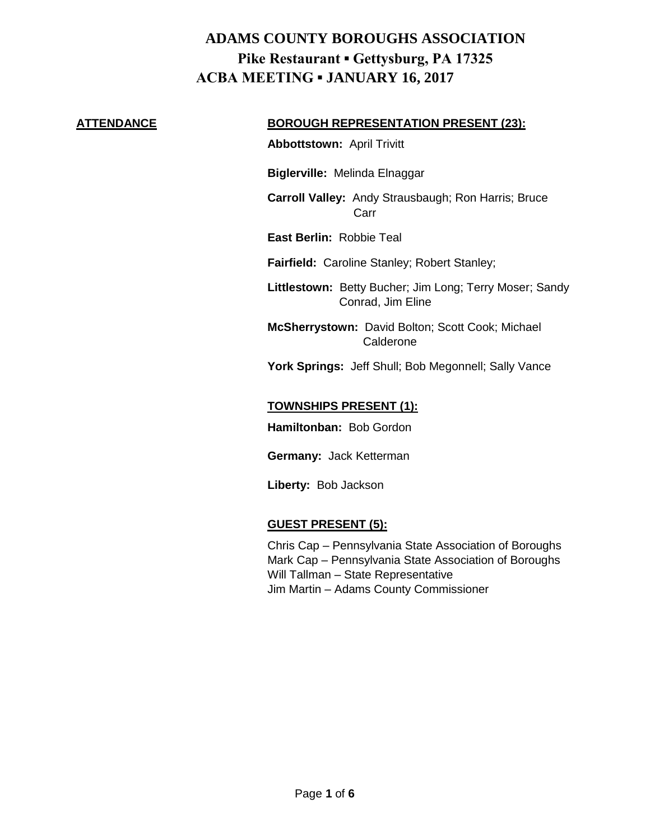#### **ATTENDANCE BOROUGH REPRESENTATION PRESENT (23):**

**Abbottstown:** April Trivitt

**Biglerville:** Melinda Elnaggar

**Carroll Valley:** Andy Strausbaugh; Ron Harris; Bruce Carr

**East Berlin:** Robbie Teal

**Fairfield:** Caroline Stanley; Robert Stanley;

**Littlestown:** Betty Bucher; Jim Long; Terry Moser; Sandy Conrad, Jim Eline

**McSherrystown:** David Bolton; Scott Cook; Michael Calderone

York Springs: Jeff Shull; Bob Megonnell; Sally Vance

#### **TOWNSHIPS PRESENT (1):**

**Hamiltonban:** Bob Gordon

**Germany:** Jack Ketterman

**Liberty:** Bob Jackson

#### **GUEST PRESENT (5):**

Chris Cap – Pennsylvania State Association of Boroughs Mark Cap – Pennsylvania State Association of Boroughs Will Tallman – State Representative Jim Martin – Adams County Commissioner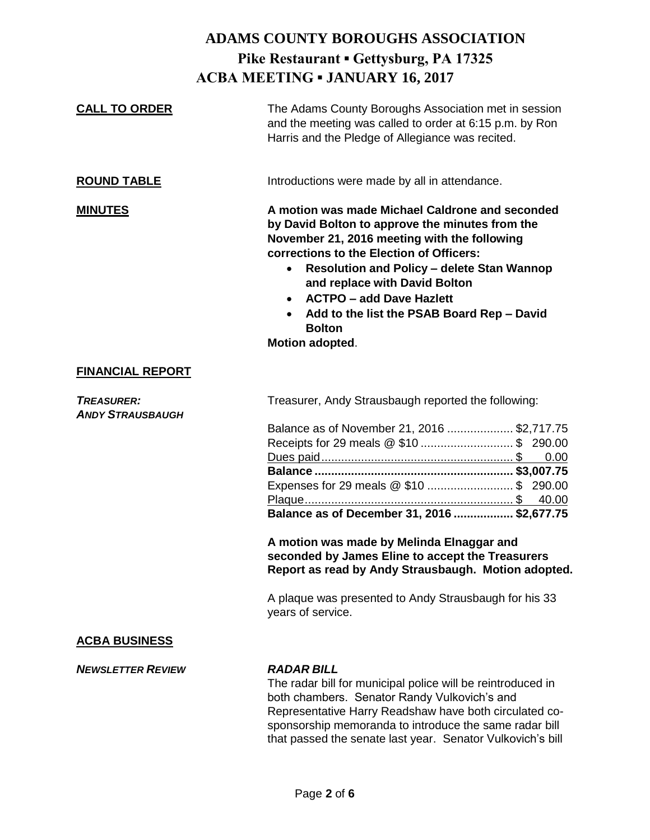| <b>CALL TO ORDER</b>                         | The Adams County Boroughs Association met in session<br>and the meeting was called to order at 6:15 p.m. by Ron<br>Harris and the Pledge of Allegiance was recited.                                                                                                                                                                                                                                                                                                                           |
|----------------------------------------------|-----------------------------------------------------------------------------------------------------------------------------------------------------------------------------------------------------------------------------------------------------------------------------------------------------------------------------------------------------------------------------------------------------------------------------------------------------------------------------------------------|
| <b>ROUND TABLE</b>                           | Introductions were made by all in attendance.                                                                                                                                                                                                                                                                                                                                                                                                                                                 |
| <b>MINUTES</b>                               | A motion was made Michael Caldrone and seconded<br>by David Bolton to approve the minutes from the<br>November 21, 2016 meeting with the following<br>corrections to the Election of Officers:<br><b>Resolution and Policy - delete Stan Wannop</b><br>$\bullet$<br>and replace with David Bolton<br><b>ACTPO - add Dave Hazlett</b><br>$\bullet$<br>Add to the list the PSAB Board Rep - David<br><b>Bolton</b><br>Motion adopted.                                                           |
| <b>FINANCIAL REPORT</b>                      |                                                                                                                                                                                                                                                                                                                                                                                                                                                                                               |
| <b>TREASURER:</b><br><b>ANDY STRAUSBAUGH</b> | Treasurer, Andy Strausbaugh reported the following:<br>Balance as of November 21, 2016 \$2,717.75<br>Receipts for 29 meals @ \$10  \$ 290.00<br>0.00<br>Expenses for 29 meals @ \$10  \$ 290.00<br>40.00<br>Balance as of December 31, 2016  \$2,677.75<br>A motion was made by Melinda Elnaggar and<br>seconded by James Eline to accept the Treasurers<br>Report as read by Andy Strausbaugh. Motion adopted.<br>A plaque was presented to Andy Strausbaugh for his 33<br>years of service. |
| <b>ACBA BUSINESS</b>                         |                                                                                                                                                                                                                                                                                                                                                                                                                                                                                               |
| <b>NEWSLETTER REVIEW</b>                     | <b>RADAR BILL</b><br>The radar bill for municipal police will be reintroduced in<br>both chambers. Senator Randy Vulkovich's and<br>Representative Harry Readshaw have both circulated co-<br>sponsorship memoranda to introduce the same radar bill<br>that passed the senate last year. Senator Vulkovich's bill                                                                                                                                                                            |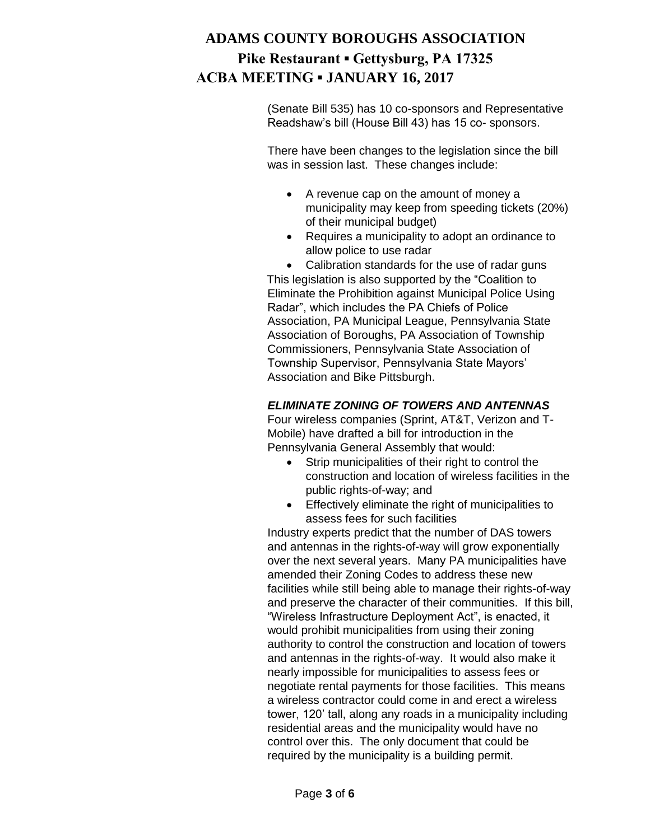(Senate Bill 535) has 10 co-sponsors and Representative Readshaw's bill (House Bill 43) has 15 co- sponsors.

There have been changes to the legislation since the bill was in session last. These changes include:

- A revenue cap on the amount of money a municipality may keep from speeding tickets (20%) of their municipal budget)
- Requires a municipality to adopt an ordinance to allow police to use radar

 Calibration standards for the use of radar guns This legislation is also supported by the "Coalition to Eliminate the Prohibition against Municipal Police Using Radar", which includes the PA Chiefs of Police Association, PA Municipal League, Pennsylvania State Association of Boroughs, PA Association of Township Commissioners, Pennsylvania State Association of Township Supervisor, Pennsylvania State Mayors' Association and Bike Pittsburgh.

### *ELIMINATE ZONING OF TOWERS AND ANTENNAS*

Four wireless companies (Sprint, AT&T, Verizon and T-Mobile) have drafted a bill for introduction in the Pennsylvania General Assembly that would:

- Strip municipalities of their right to control the construction and location of wireless facilities in the public rights-of-way; and
- Effectively eliminate the right of municipalities to assess fees for such facilities

Industry experts predict that the number of DAS towers and antennas in the rights-of-way will grow exponentially over the next several years. Many PA municipalities have amended their Zoning Codes to address these new facilities while still being able to manage their rights-of-way and preserve the character of their communities. If this bill, "Wireless Infrastructure Deployment Act", is enacted, it would prohibit municipalities from using their zoning authority to control the construction and location of towers and antennas in the rights-of-way. It would also make it nearly impossible for municipalities to assess fees or negotiate rental payments for those facilities. This means a wireless contractor could come in and erect a wireless tower, 120' tall, along any roads in a municipality including residential areas and the municipality would have no control over this. The only document that could be required by the municipality is a building permit.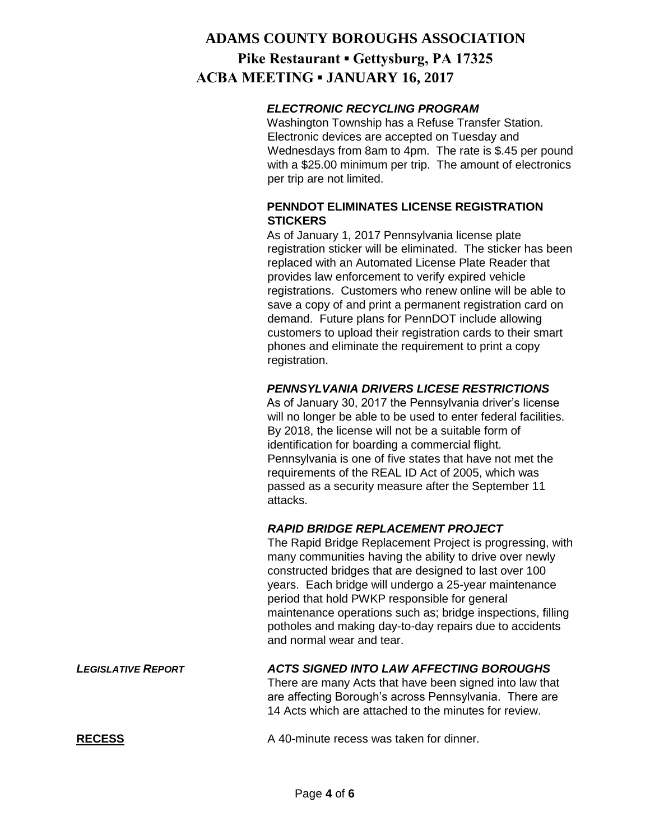#### *ELECTRONIC RECYCLING PROGRAM*

Washington Township has a Refuse Transfer Station. Electronic devices are accepted on Tuesday and Wednesdays from 8am to 4pm. The rate is \$.45 per pound with a \$25.00 minimum per trip. The amount of electronics per trip are not limited.

### **PENNDOT ELIMINATES LICENSE REGISTRATION STICKERS**

As of January 1, 2017 Pennsylvania license plate registration sticker will be eliminated. The sticker has been replaced with an Automated License Plate Reader that provides law enforcement to verify expired vehicle registrations. Customers who renew online will be able to save a copy of and print a permanent registration card on demand. Future plans for PennDOT include allowing customers to upload their registration cards to their smart phones and eliminate the requirement to print a copy registration.

### *PENNSYLVANIA DRIVERS LICESE RESTRICTIONS*

As of January 30, 2017 the Pennsylvania driver's license will no longer be able to be used to enter federal facilities. By 2018, the license will not be a suitable form of identification for boarding a commercial flight. Pennsylvania is one of five states that have not met the requirements of the REAL ID Act of 2005, which was passed as a security measure after the September 11 attacks.

### *RAPID BRIDGE REPLACEMENT PROJECT*

The Rapid Bridge Replacement Project is progressing, with many communities having the ability to drive over newly constructed bridges that are designed to last over 100 years. Each bridge will undergo a 25-year maintenance period that hold PWKP responsible for general maintenance operations such as; bridge inspections, filling potholes and making day-to-day repairs due to accidents and normal wear and tear.

#### *LEGISLATIVE REPORT ACTS SIGNED INTO LAW AFFECTING BOROUGHS*

There are many Acts that have been signed into law that are affecting Borough's across Pennsylvania. There are 14 Acts which are attached to the minutes for review.

**RECESS** A 40-minute recess was taken for dinner.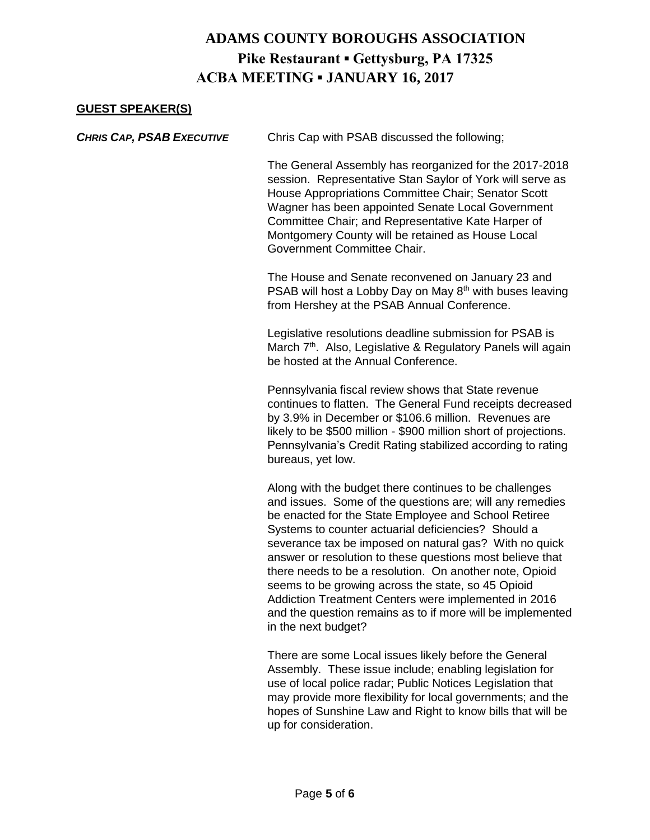#### **GUEST SPEAKER(S)**

| <b>CHRIS CAP, PSAB EXECUTIVE</b> | Chris Cap with PSAB discussed the following;                                                                                                                                                                                                                                                                                                                                                                                                                                                                                                                                                                           |
|----------------------------------|------------------------------------------------------------------------------------------------------------------------------------------------------------------------------------------------------------------------------------------------------------------------------------------------------------------------------------------------------------------------------------------------------------------------------------------------------------------------------------------------------------------------------------------------------------------------------------------------------------------------|
|                                  | The General Assembly has reorganized for the 2017-2018<br>session. Representative Stan Saylor of York will serve as<br>House Appropriations Committee Chair; Senator Scott<br>Wagner has been appointed Senate Local Government<br>Committee Chair; and Representative Kate Harper of<br>Montgomery County will be retained as House Local<br>Government Committee Chair.                                                                                                                                                                                                                                              |
|                                  | The House and Senate reconvened on January 23 and<br>PSAB will host a Lobby Day on May 8 <sup>th</sup> with buses leaving<br>from Hershey at the PSAB Annual Conference.                                                                                                                                                                                                                                                                                                                                                                                                                                               |
|                                  | Legislative resolutions deadline submission for PSAB is<br>March 7 <sup>th</sup> . Also, Legislative & Regulatory Panels will again<br>be hosted at the Annual Conference.                                                                                                                                                                                                                                                                                                                                                                                                                                             |
|                                  | Pennsylvania fiscal review shows that State revenue<br>continues to flatten. The General Fund receipts decreased<br>by 3.9% in December or \$106.6 million. Revenues are<br>likely to be \$500 million - \$900 million short of projections.<br>Pennsylvania's Credit Rating stabilized according to rating<br>bureaus, yet low.                                                                                                                                                                                                                                                                                       |
|                                  | Along with the budget there continues to be challenges<br>and issues. Some of the questions are; will any remedies<br>be enacted for the State Employee and School Retiree<br>Systems to counter actuarial deficiencies? Should a<br>severance tax be imposed on natural gas? With no quick<br>answer or resolution to these questions most believe that<br>there needs to be a resolution. On another note, Opioid<br>seems to be growing across the state, so 45 Opioid<br>Addiction Treatment Centers were implemented in 2016<br>and the question remains as to if more will be implemented<br>in the next budget? |
|                                  | There are seme Local issues likely before the Ceneral                                                                                                                                                                                                                                                                                                                                                                                                                                                                                                                                                                  |

There are some Local issues likely before the General Assembly. These issue include; enabling legislation for use of local police radar; Public Notices Legislation that may provide more flexibility for local governments; and the hopes of Sunshine Law and Right to know bills that will be up for consideration.